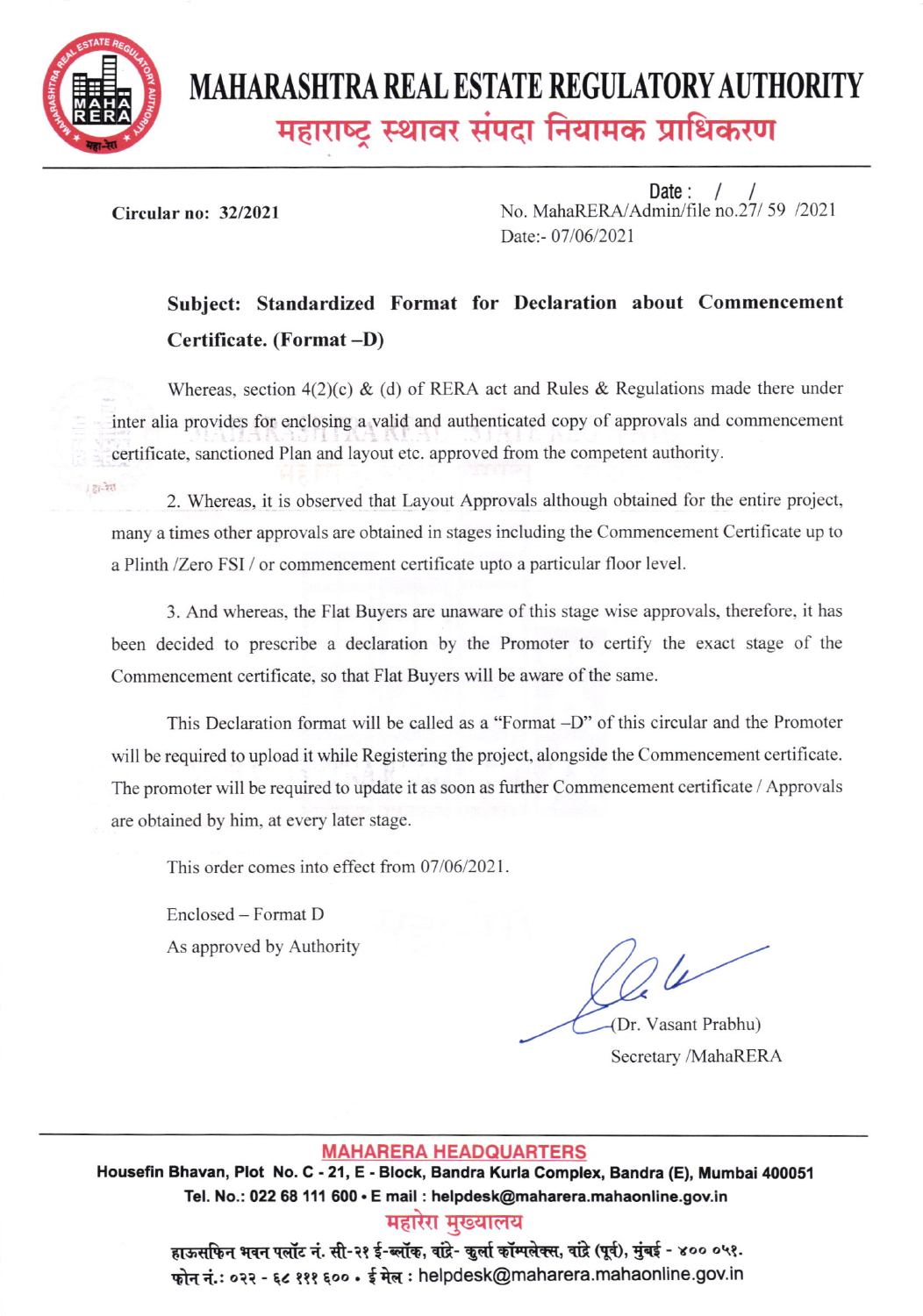

# MAHARASHTRA REAL ESTATE REGULATORY AUTHORITY महाराष्ट्र स्थावर संपदा नियामक प्राधिकरण

Circular no: 32/2021

Date:  $/$  / No. MahaRERA/Admin/file no.27/ 59 /2021 Date:- 07/06/2021

## Subject: Standardized Format for Declaration about Commencement Certificate. (Format -D)

Whereas, section  $4(2)(c)$  & (d) of RERA act and Rules & Regulations made there under inter alia provides for enclosing a valid and authenticated copy of approvals and commencement certificate, sanctioned Plan and layout etc. approved from the competent authority.

27.321 2. Whereas, it is observed that Layout Approvals although obtained for the entire project. many a times other approvals are obtained in stages including the Commencement Certificate up to a Plinth /Zero FSI / or commencement certificate upto a particular floor level.

3. And whereas, the Flat Buyers are unaware of this stage wise approvals, therefore, it has been decided to prescribe a declaration by the Promoter to certify the exact stage of the Commencement certificate, so that Flat Buyers will be aware of the same.

This Declaration format will be called as a "Format -D" of this circular and the Promoter will be required to upload it while Registering the project, alongside the Commencement certificate. The promoter will be required to update it as soon as further Commencement certificate / Approvals are obtained by him, at every later stage.

This order comes into effect from 07/06/2021.

Enclosed - Format D As approved by Authority

 $\sqrt{2}$ 

Dr. Vasant Prabhu) Secretary /MahaRERA

#### MAHARERA HEADOUARTERS

Housefin Bhavan, Plot No. C - 21, E - Block, Bandra Kurla Complex, Bandra (E), Mumbai 400051 Tel. No.: 022 68 111 600 · E mail : helpdesk@maharera.mahaonline.gov.in

### महारेरा मख्यालय

हाऊसफिन भवन पलॉट नं. सी-२१ ई-ब्लॉक, वांद्रे- कुर्ला कॉम्पलेक्स, वांद्रे (पूर्व), मुंबई - ४०० ०५१. फोन नं.: ०२२ - ६८ १११ ६०० • ई मेल : helpdesk@maharera.mahaonline.gov.in